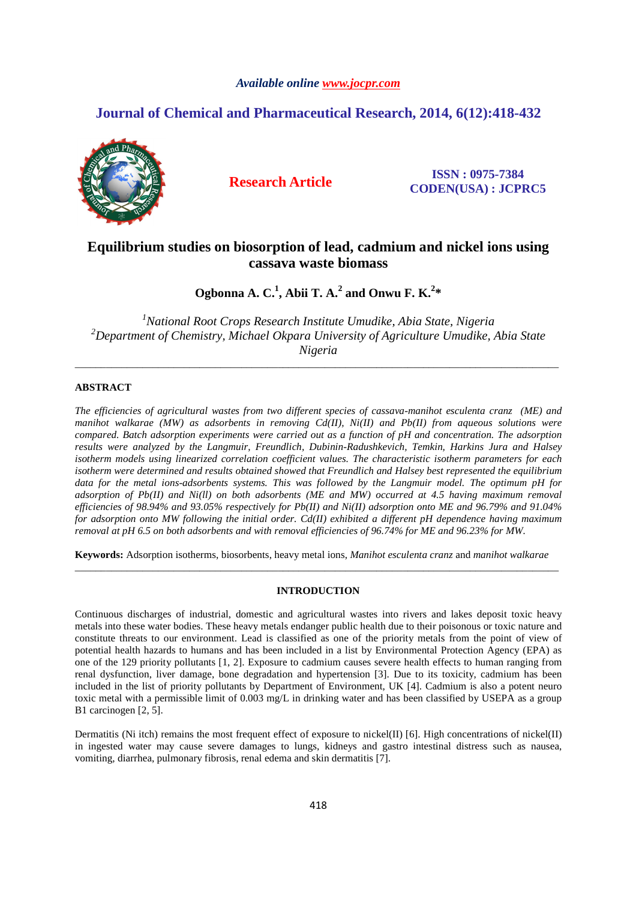# *Available online www.jocpr.com*

# **Journal of Chemical and Pharmaceutical Research, 2014, 6(12):418-432**



**Research Article ISSN : 0975-7384 CODEN(USA) : JCPRC5**

# **Equilibrium studies on biosorption of lead, cadmium and nickel ions using cassava waste biomass**

Ogbonna A. C.<sup>1</sup>, Abii T. A.<sup>2</sup> and Onwu F. K.<sup>2</sup>\*

*<sup>1</sup>National Root Crops Research Institute Umudike, Abia State, Nigeria <sup>2</sup>Department of Chemistry, Michael Okpara University of Agriculture Umudike, Abia State Nigeria* 

\_\_\_\_\_\_\_\_\_\_\_\_\_\_\_\_\_\_\_\_\_\_\_\_\_\_\_\_\_\_\_\_\_\_\_\_\_\_\_\_\_\_\_\_\_\_\_\_\_\_\_\_\_\_\_\_\_\_\_\_\_\_\_\_\_\_\_\_\_\_\_\_\_\_\_\_\_\_\_\_\_\_\_\_\_\_\_\_\_\_\_\_\_

# **ABSTRACT**

*The efficiencies of agricultural wastes from two different species of cassava-manihot esculenta cranz (ME) and manihot walkarae (MW) as adsorbents in removing Cd(II), Ni(II) and Pb(II) from aqueous solutions were compared. Batch adsorption experiments were carried out as a function of pH and concentration. The adsorption results were analyzed by the Langmuir, Freundlich, Dubinin-Radushkevich, Temkin, Harkins Jura and Halsey isotherm models using linearized correlation coefficient values. The characteristic isotherm parameters for each isotherm were determined and results obtained showed that Freundlich and Halsey best represented the equilibrium data for the metal ions-adsorbents systems. This was followed by the Langmuir model. The optimum pH for adsorption of Pb(II) and Ni(ll) on both adsorbents (ME and MW) occurred at 4.5 having maximum removal efficiencies of 98.94% and 93.05% respectively for Pb(II) and Ni(II) adsorption onto ME and 96.79% and 91.04% for adsorption onto MW following the initial order. Cd(II) exhibited a different pH dependence having maximum removal at pH 6.5 on both adsorbents and with removal efficiencies of 96.74% for ME and 96.23% for MW.*

**Keywords:** Adsorption isotherms, biosorbents, heavy metal ions, *Manihot esculenta cranz* and *manihot walkarae*  \_\_\_\_\_\_\_\_\_\_\_\_\_\_\_\_\_\_\_\_\_\_\_\_\_\_\_\_\_\_\_\_\_\_\_\_\_\_\_\_\_\_\_\_\_\_\_\_\_\_\_\_\_\_\_\_\_\_\_\_\_\_\_\_\_\_\_\_\_\_\_\_\_\_\_\_\_\_\_\_\_\_\_\_\_\_\_\_\_\_\_\_\_

# **INTRODUCTION**

Continuous discharges of industrial, domestic and agricultural wastes into rivers and lakes deposit toxic heavy metals into these water bodies. These heavy metals endanger public health due to their poisonous or toxic nature and constitute threats to our environment. Lead is classified as one of the priority metals from the point of view of potential health hazards to humans and has been included in a list by Environmental Protection Agency (EPA) as one of the 129 priority pollutants [1, 2]. Exposure to cadmium causes severe health effects to human ranging from renal dysfunction, liver damage, bone degradation and hypertension [3]. Due to its toxicity, cadmium has been included in the list of priority pollutants by Department of Environment, UK [4]. Cadmium is also a potent neuro toxic metal with a permissible limit of 0.003 mg/L in drinking water and has been classified by USEPA as a group B1 carcinogen [2, 5].

Dermatitis (Ni itch) remains the most frequent effect of exposure to nickel(II) [6]. High concentrations of nickel(II) in ingested water may cause severe damages to lungs, kidneys and gastro intestinal distress such as nausea, vomiting, diarrhea, pulmonary fibrosis, renal edema and skin dermatitis [7].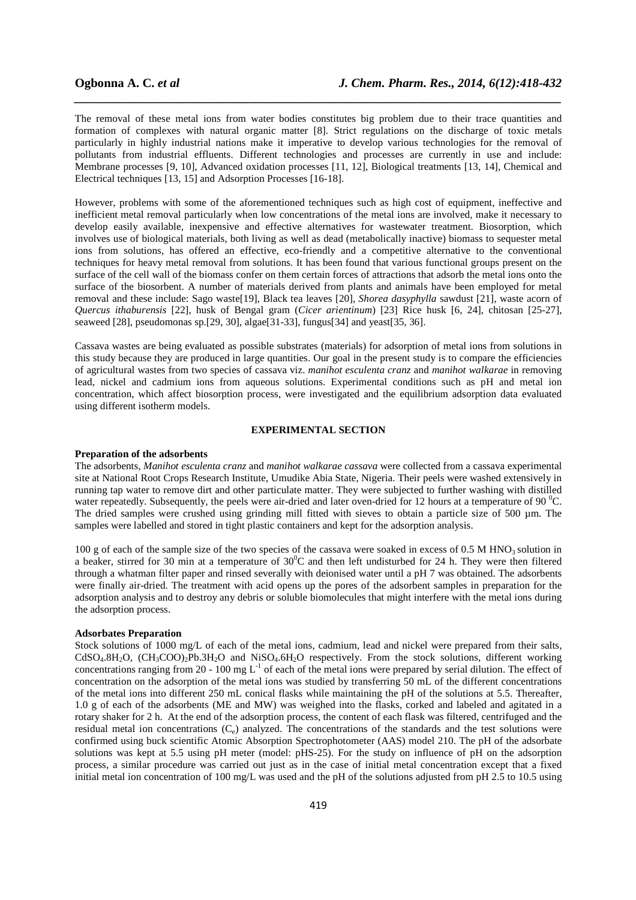The removal of these metal ions from water bodies constitutes big problem due to their trace quantities and formation of complexes with natural organic matter [8]. Strict regulations on the discharge of toxic metals particularly in highly industrial nations make it imperative to develop various technologies for the removal of pollutants from industrial effluents. Different technologies and processes are currently in use and include: Membrane processes [9, 10], Advanced oxidation processes [11, 12], Biological treatments [13, 14], Chemical and Electrical techniques [13, 15] and Adsorption Processes [16-18].

*\_\_\_\_\_\_\_\_\_\_\_\_\_\_\_\_\_\_\_\_\_\_\_\_\_\_\_\_\_\_\_\_\_\_\_\_\_\_\_\_\_\_\_\_\_\_\_\_\_\_\_\_\_\_\_\_\_\_\_\_\_\_\_\_\_\_\_\_\_\_\_\_\_\_\_\_\_\_*

However, problems with some of the aforementioned techniques such as high cost of equipment, ineffective and inefficient metal removal particularly when low concentrations of the metal ions are involved, make it necessary to develop easily available, inexpensive and effective alternatives for wastewater treatment. Biosorption, which involves use of biological materials, both living as well as dead (metabolically inactive) biomass to sequester metal ions from solutions, has offered an effective, eco-friendly and a competitive alternative to the conventional techniques for heavy metal removal from solutions. It has been found that various functional groups present on the surface of the cell wall of the biomass confer on them certain forces of attractions that adsorb the metal ions onto the surface of the biosorbent. A number of materials derived from plants and animals have been employed for metal removal and these include: Sago waste[19], Black tea leaves [20], *Shorea dasyphylla* sawdust [21], waste acorn of *Quercus ithaburensis* [22], husk of Bengal gram (*Cicer arientinum*) [23] Rice husk [6, 24], chitosan [25-27], seaweed [28], pseudomonas sp.[29, 30], algae[31-33], fungus[34] and yeast[35, 36].

Cassava wastes are being evaluated as possible substrates (materials) for adsorption of metal ions from solutions in this study because they are produced in large quantities. Our goal in the present study is to compare the efficiencies of agricultural wastes from two species of cassava viz. *manihot esculenta cranz* and *manihot walkarae* in removing lead, nickel and cadmium ions from aqueous solutions. Experimental conditions such as pH and metal ion concentration, which affect biosorption process, were investigated and the equilibrium adsorption data evaluated using different isotherm models.

# **EXPERIMENTAL SECTION**

### **Preparation of the adsorbents**

The adsorbents, *Manihot esculenta cranz* and *manihot walkarae cassava* were collected from a cassava experimental site at National Root Crops Research Institute, Umudike Abia State, Nigeria. Their peels were washed extensively in running tap water to remove dirt and other particulate matter. They were subjected to further washing with distilled water repeatedly. Subsequently, the peels were air-dried and later oven-dried for 12 hours at a temperature of 90  $^{\circ}$ C. The dried samples were crushed using grinding mill fitted with sieves to obtain a particle size of 500 um. The samples were labelled and stored in tight plastic containers and kept for the adsorption analysis.

100 g of each of the sample size of the two species of the cassava were soaked in excess of 0.5 M HNO<sub>3</sub> solution in a beaker, stirred for 30 min at a temperature of  $30^0C$  and then left undisturbed for 24 h. They were then filtered through a whatman filter paper and rinsed severally with deionised water until a pH 7 was obtained. The adsorbents were finally air-dried. The treatment with acid opens up the pores of the adsorbent samples in preparation for the adsorption analysis and to destroy any debris or soluble biomolecules that might interfere with the metal ions during the adsorption process.

## **Adsorbates Preparation**

Stock solutions of 1000 mg/L of each of the metal ions, cadmium, lead and nickel were prepared from their salts,  $CdSO<sub>4</sub>.8H<sub>2</sub>O$ ,  $(CH<sub>3</sub>COO)<sub>2</sub>Pb.3H<sub>2</sub>O$  and  $NiSO<sub>4</sub>.6H<sub>2</sub>O$  respectively. From the stock solutions, different working concentrations ranging from 20 - 100 mg  $L^{-1}$  of each of the metal ions were prepared by serial dilution. The effect of concentration on the adsorption of the metal ions was studied by transferring 50 mL of the different concentrations of the metal ions into different 250 mL conical flasks while maintaining the pH of the solutions at 5.5. Thereafter, 1.0 g of each of the adsorbents (ME and MW) was weighed into the flasks, corked and labeled and agitated in a rotary shaker for 2 h.At the end of the adsorption process, the content of each flask was filtered, centrifuged and the residual metal ion concentrations  $(C_e)$  analyzed. The concentrations of the standards and the test solutions were confirmed using buck scientific Atomic Absorption Spectrophotometer (AAS) model 210. The pH of the adsorbate solutions was kept at 5.5 using pH meter (model: pHS-25). For the study on influence of pH on the adsorption process, a similar procedure was carried out just as in the case of initial metal concentration except that a fixed initial metal ion concentration of 100 mg/L was used and the pH of the solutions adjusted from pH 2.5 to 10.5 using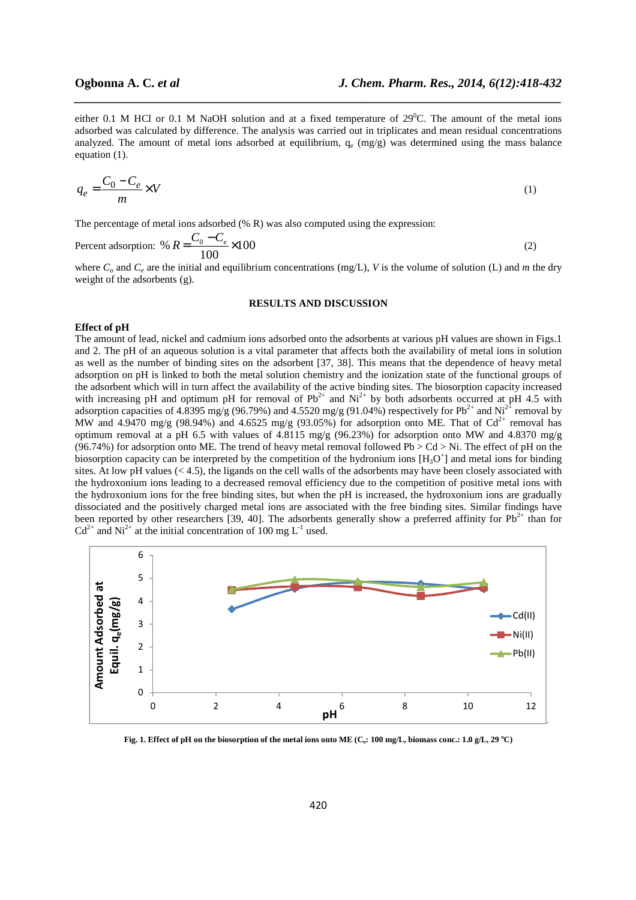either 0.1 M HCl or 0.1 M NaOH solution and at a fixed temperature of  $29^0C$ . The amount of the metal ions adsorbed was calculated by difference. The analysis was carried out in triplicates and mean residual concentrations analyzed. The amount of metal ions adsorbed at equilibrium,  $q_e$  (mg/g) was determined using the mass balance equation (1).

*\_\_\_\_\_\_\_\_\_\_\_\_\_\_\_\_\_\_\_\_\_\_\_\_\_\_\_\_\_\_\_\_\_\_\_\_\_\_\_\_\_\_\_\_\_\_\_\_\_\_\_\_\_\_\_\_\_\_\_\_\_\_\_\_\_\_\_\_\_\_\_\_\_\_\_\_\_\_*

$$
q_e = \frac{C_0 - C_e}{m} \times V \tag{1}
$$

The percentage of metal ions adsorbed (% R) was also computed using the expression:

Percent adsorption: % 
$$
R = \frac{C_0 - C_e}{100} \times 100
$$
 (2)

where  $C<sub>o</sub>$  and  $C<sub>e</sub>$  are the initial and equilibrium concentrations (mg/L), *V* is the volume of solution (L) and *m* the dry weight of the adsorbents (g).

#### **RESULTS AND DISCUSSION**

### **Effect of pH**

The amount of lead, nickel and cadmium ions adsorbed onto the adsorbents at various pH values are shown in Figs.1 and 2. The pH of an aqueous solution is a vital parameter that affects both the availability of metal ions in solution as well as the number of binding sites on the adsorbent [37, 38]. This means that the dependence of heavy metal adsorption on pH is linked to both the metal solution chemistry and the ionization state of the functional groups of the adsorbent which will in turn affect the availability of the active binding sites. The biosorption capacity increased with increasing pH and optimum pH for removal of  $Pb^{2+}$  and  $Ni^{2+}$  by both adsorbents occurred at pH 4.5 with adsorption capacities of 4.8395 mg/g (96.79%) and 4.5520 mg/g (91.04%) respectively for  $Pb^{2+}$  and  $Ni^{2+}$  removal by MW and 4.9470 mg/g (98.94%) and 4.6525 mg/g (93.05%) for adsorption onto ME. That of  $Cd^{2+}$  removal has optimum removal at a pH 6.5 with values of 4.8115 mg/g (96.23%) for adsorption onto MW and 4.8370 mg/g (96.74%) for adsorption onto ME. The trend of heavy metal removal followed Pb  $>$  Cd  $>$  Ni. The effect of pH on the biosorption capacity can be interpreted by the competition of the hydronium ions  $[H_3O^+]$  and metal ions for binding sites. At low pH values  $( $4.5$ ), the ligands on the cell walls of the adsorbents may have been closely associated with$ the hydroxonium ions leading to a decreased removal efficiency due to the competition of positive metal ions with the hydroxonium ions for the free binding sites, but when the pH is increased, the hydroxonium ions are gradually dissociated and the positively charged metal ions are associated with the free binding sites. Similar findings have been reported by other researchers [39, 40]. The adsorbents generally show a preferred affinity for  $\rm Pb^{2+}$  than for  $Cd^{2+}$  and Ni<sup>2+</sup> at the initial concentration of 100 mg L<sup>-1</sup> used.



**Fig. 1. Effect of pH on the biosorption of the metal ions onto ME (Co: 100 mg/L, biomass conc.: 1.0 g/L, 29 <sup>o</sup>C)**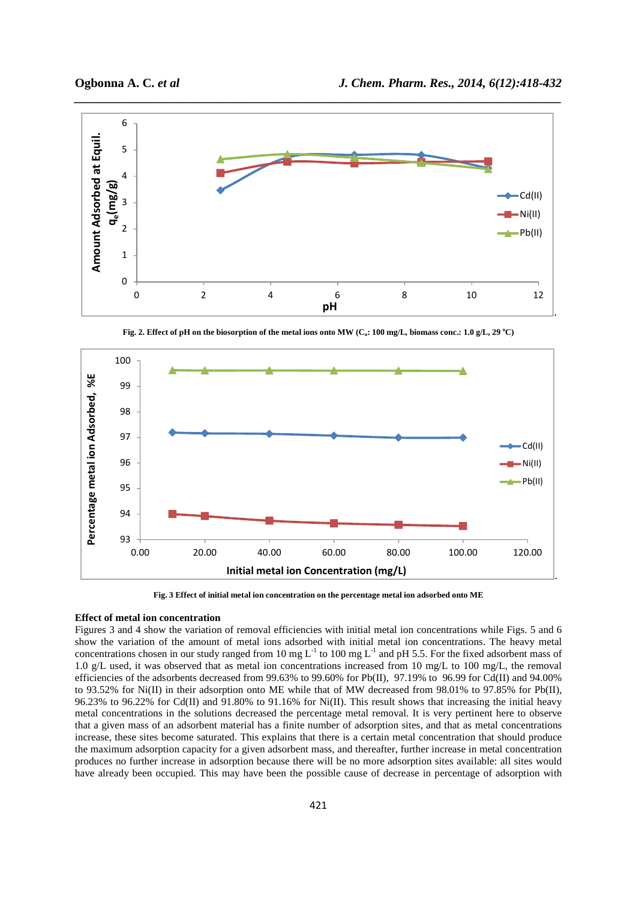

**Fig. 2. Effect of pH on the biosorption of the metal ions onto MW (** $C<sub>o</sub>$ **: 100 mg/L, biomass conc.: 1.0 g/L, 29**  $^{\circ}$ **C)** 



**Fig. 3 Effect of initial metal ion concentration on the percentage metal ion adsorbed onto ME** 

# **Effect of metal ion concentration**

Figures 3 and 4 show the variation of removal efficiencies with initial metal ion concentrations while Figs. 5 and 6 show the variation of the amount of metal ions adsorbed with initial metal ion concentrations. The heavy metal concentrations chosen in our study ranged from 10 mg  $L^{-1}$  to 100 mg  $L^{-1}$  and pH 5.5. For the fixed adsorbent mass of 1.0 g/L used, it was observed that as metal ion concentrations increased from 10 mg/L to 100 mg/L, the removal efficiencies of the adsorbents decreased from  $99.63\%$  to  $99.60\%$  for Pb(II), 97.19% to 96.99 for Cd(II) and 94.00% to 93.52% for Ni(II) in their adsorption onto ME while that of MW decreased from 98.01% to 97.85% for Pb(II), 96.23% to 96.22% for Cd(II) and 91.80% to 91.16% for Ni(II). This result shows that increasing the initial heavy metal concentrations in the solutions decreased the percentage metal removal. It is very pertinent here to observe that a given mass of an adsorbent material has a finite number of adsorption sites, and that as metal concentrations increase, these sites become saturated. This explains that there is a certain metal concentration that should produce the maximum adsorption capacity for a given adsorbent mass, and thereafter, further increase in metal concentration produces no further increase in adsorption because there will be no more adsorption sites available: all sites would have already been occupied. This may have been the possible cause of decrease in percentage of adsorption with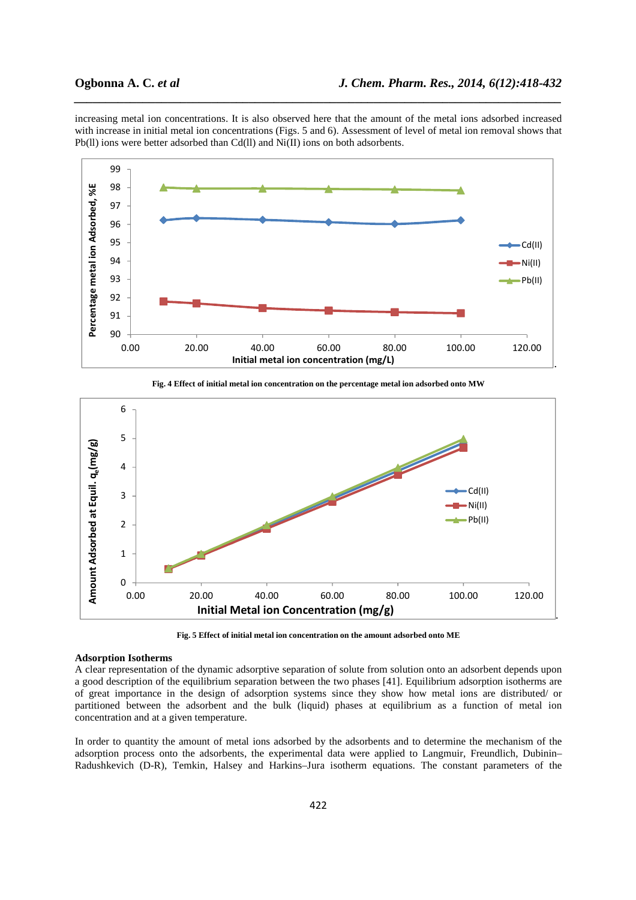increasing metal ion concentrations. It is also observed here that the amount of the metal ions adsorbed increased with increase in initial metal ion concentrations (Figs. 5 and 6). Assessment of level of metal ion removal shows that Pb(II) ions were better adsorbed than Cd(II) and Ni(II) ions on both adsorbents.

*\_\_\_\_\_\_\_\_\_\_\_\_\_\_\_\_\_\_\_\_\_\_\_\_\_\_\_\_\_\_\_\_\_\_\_\_\_\_\_\_\_\_\_\_\_\_\_\_\_\_\_\_\_\_\_\_\_\_\_\_\_\_\_\_\_\_\_\_\_\_\_\_\_\_\_\_\_\_*





**Fig. 4 Effect of initial metal ion concentration on the percentage metal ion adsorbed onto MW**

**Fig. 5 Effect of initial metal ion concentration on the amount adsorbed onto ME** 

# **Adsorption Isotherms**

A clear representation of the dynamic adsorptive separation of solute from solution onto an adsorbent depends upon a good description of the equilibrium separation between the two phases [41]. Equilibrium adsorption isotherms are of great importance in the design of adsorption systems since they show how metal ions are distributed/ or partitioned between the adsorbent and the bulk (liquid) phases at equilibrium as a function of metal ion concentration and at a given temperature.

In order to quantity the amount of metal ions adsorbed by the adsorbents and to determine the mechanism of the adsorption process onto the adsorbents, the experimental data were applied to Langmuir, Freundlich, Dubinin– Radushkevich (D-R), Temkin, Halsey and Harkins–Jura isotherm equations. The constant parameters of the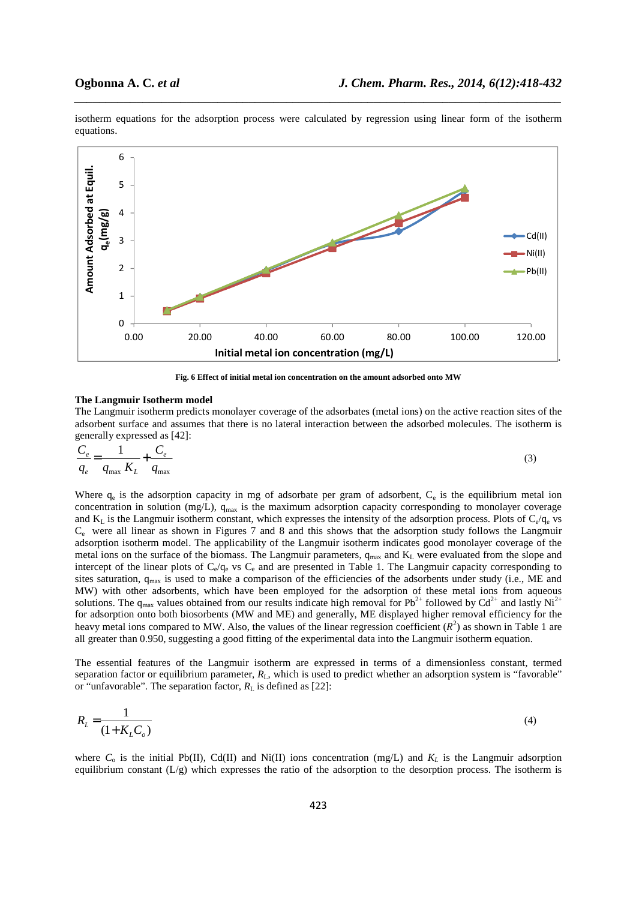

isotherm equations for the adsorption process were calculated by regression using linear form of the isotherm equations.

*\_\_\_\_\_\_\_\_\_\_\_\_\_\_\_\_\_\_\_\_\_\_\_\_\_\_\_\_\_\_\_\_\_\_\_\_\_\_\_\_\_\_\_\_\_\_\_\_\_\_\_\_\_\_\_\_\_\_\_\_\_\_\_\_\_\_\_\_\_\_\_\_\_\_\_\_\_\_*

**Fig. 6 Effect of initial metal ion concentration on the amount adsorbed onto MW** 

# **The Langmuir Isotherm model**

The Langmuir isotherm predicts monolayer coverage of the adsorbates (metal ions) on the active reaction sites of the adsorbent surface and assumes that there is no lateral interaction between the adsorbed molecules. The isotherm is generally expressed as [42]:

$$
\frac{C_e}{q_e} = \frac{1}{q_{\text{max}} K_L} + \frac{C_e}{q_{\text{max}}}
$$
\n(3)

Where  $q_e$  is the adsorption capacity in mg of adsorbate per gram of adsorbent,  $C_e$  is the equilibrium metal ion concentration in solution (mg/L),  $q_{max}$  is the maximum adsorption capacity corresponding to monolayer coverage and  $K_L$  is the Langmuir isotherm constant, which expresses the intensity of the adsorption process. Plots of  $C_e/q_e$  vs  $C_e$  were all linear as shown in Figures 7 and 8 and this shows that the adsorption study follows the Langmuir adsorption isotherm model. The applicability of the Langmuir isotherm indicates good monolayer coverage of the metal ions on the surface of the biomass. The Langmuir parameters,  $q_{max}$  and  $K_L$  were evaluated from the slope and intercept of the linear plots of  $C_e/q_e$  vs  $C_e$  and are presented in Table 1. The Langmuir capacity corresponding to sites saturation, q<sub>max</sub> is used to make a comparison of the efficiencies of the adsorbents under study (i.e., ME and MW) with other adsorbents, which have been employed for the adsorption of these metal ions from aqueous solutions. The  $q_{max}$  values obtained from our results indicate high removal for Pb<sup>2+</sup> followed by Cd<sup>2+</sup> and lastly Ni<sup>2+</sup> for adsorption onto both biosorbents (MW and ME) and generally, ME displayed higher removal efficiency for the heavy metal ions compared to MW. Also, the values of the linear regression coefficient  $(R^2)$  as shown in Table 1 are all greater than 0.950, suggesting a good fitting of the experimental data into the Langmuir isotherm equation.

The essential features of the Langmuir isotherm are expressed in terms of a dimensionless constant, termed separation factor or equilibrium parameter,  $R_L$ , which is used to predict whether an adsorption system is "favorable" or "unfavorable". The separation factor,  $R_{\text{I}}$  is defined as [22]:

$$
R_L = \frac{1}{\left(1 + K_L C_o\right)}\tag{4}
$$

where  $C_0$  is the initial Pb(II), Cd(II) and Ni(II) ions concentration (mg/L) and  $K_L$  is the Langmuir adsorption equilibrium constant  $(L/g)$  which expresses the ratio of the adsorption to the desorption process. The isotherm is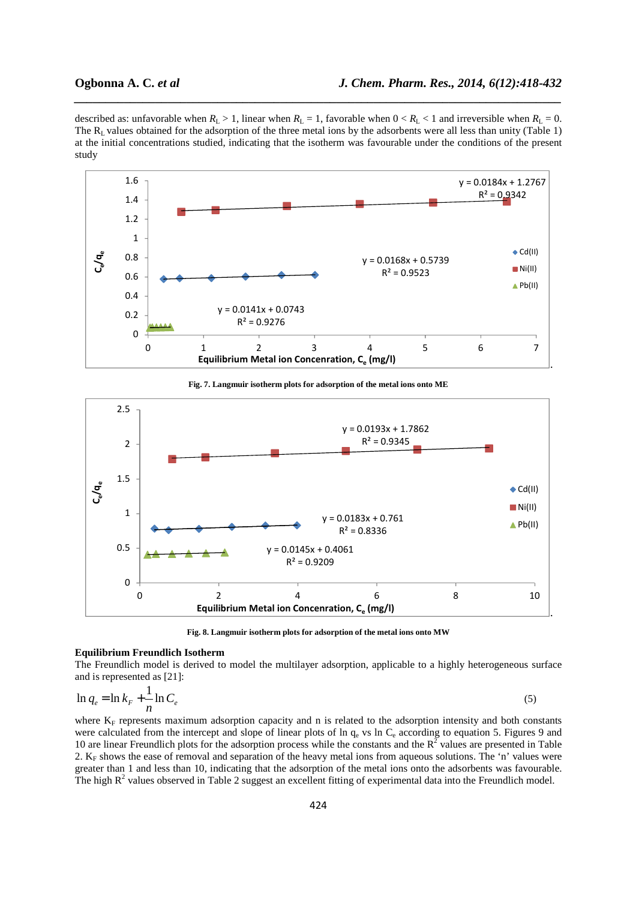described as: unfavorable when  $R_L > 1$ , linear when  $R_L = 1$ , favorable when  $0 < R_L < 1$  and irreversible when  $R_L = 0$ . The  $R_L$  values obtained for the adsorption of the three metal ions by the adsorbents were all less than unity (Table 1) at the initial concentrations studied, indicating that the isotherm was favourable under the conditions of the present study

*\_\_\_\_\_\_\_\_\_\_\_\_\_\_\_\_\_\_\_\_\_\_\_\_\_\_\_\_\_\_\_\_\_\_\_\_\_\_\_\_\_\_\_\_\_\_\_\_\_\_\_\_\_\_\_\_\_\_\_\_\_\_\_\_\_\_\_\_\_\_\_\_\_\_\_\_\_\_*



**Fig. 7. Langmuir isotherm plots for adsorption of the metal ions onto ME** 



**Fig. 8. Langmuir isotherm plots for adsorption of the metal ions onto MW** 

# **Equilibrium Freundlich Isotherm**

The Freundlich model is derived to model the multilayer adsorption, applicable to a highly heterogeneous surface and is represented as [21]:

$$
\ln q_e = \ln k_F + \frac{1}{n} \ln C_e \tag{5}
$$

where  $K_F$  represents maximum adsorption capacity and n is related to the adsorption intensity and both constants were calculated from the intercept and slope of linear plots of  $\ln q_e$  vs  $\ln C_e$  according to equation 5. Figures 9 and 10 are linear Freundlich plots for the adsorption process while the constants and the  $R^2$  values are presented in Table 2. K<sub>F</sub> shows the ease of removal and separation of the heavy metal ions from aqueous solutions. The 'n' values were greater than 1 and less than 10, indicating that the adsorption of the metal ions onto the adsorbents was favourable. The high  $R<sup>2</sup>$  values observed in Table 2 suggest an excellent fitting of experimental data into the Freundlich model.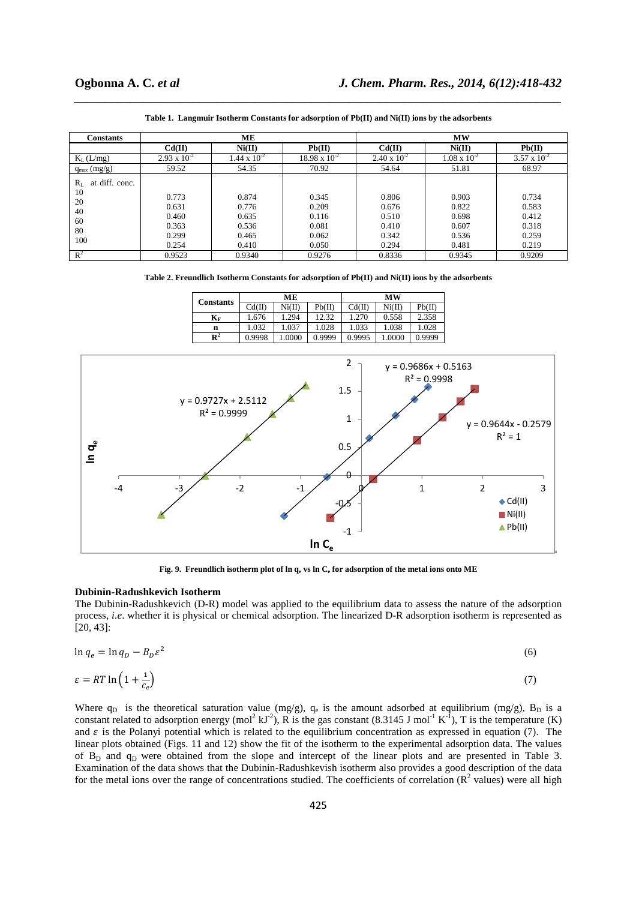| <b>Constants</b>                                               |                                                    | MЕ                                                 |                                                    | <b>MW</b>                                          |                                                    |                                                    |  |
|----------------------------------------------------------------|----------------------------------------------------|----------------------------------------------------|----------------------------------------------------|----------------------------------------------------|----------------------------------------------------|----------------------------------------------------|--|
|                                                                | Cd(II)                                             | Ni(II)                                             | Pb(II)                                             | Cd(II)                                             | Ni(II)                                             | Pb(II)                                             |  |
| $K_L$ (L/mg)                                                   | $2.93 \times 10^{-2}$                              | $1.44 \times 10^{-2}$                              | $18.98 \times 10^{-2}$                             | $2.40 \times 10^{-2}$                              | $1.08 \times 10^{-2}$                              | $3.57 \times 10^{-2}$                              |  |
| $q_{max}(mg/g)$                                                | 59.52                                              | 54.35                                              | 70.92                                              | 54.64                                              | 51.81                                              | 68.97                                              |  |
| at diff. conc.<br>$R_{L}$<br>10<br>20<br>40<br>60<br>80<br>100 | 0.773<br>0.631<br>0.460<br>0.363<br>0.299<br>0.254 | 0.874<br>0.776<br>0.635<br>0.536<br>0.465<br>0.410 | 0.345<br>0.209<br>0.116<br>0.081<br>0.062<br>0.050 | 0.806<br>0.676<br>0.510<br>0.410<br>0.342<br>0.294 | 0.903<br>0.822<br>0.698<br>0.607<br>0.536<br>0.481 | 0.734<br>0.583<br>0.412<br>0.318<br>0.259<br>0.219 |  |
| $\mathbb{R}^2$                                                 | 0.9523                                             | 0.9340                                             | 0.9276                                             | 0.8336                                             | 0.9345                                             | 0.9209                                             |  |

**Table 1. Langmuir Isotherm Constants for adsorption of Pb(II) and Ni(II) ions by the adsorbents** 

*\_\_\_\_\_\_\_\_\_\_\_\_\_\_\_\_\_\_\_\_\_\_\_\_\_\_\_\_\_\_\_\_\_\_\_\_\_\_\_\_\_\_\_\_\_\_\_\_\_\_\_\_\_\_\_\_\_\_\_\_\_\_\_\_\_\_\_\_\_\_\_\_\_\_\_\_\_\_*

**Table 2. Freundlich Isotherm Constants for adsorption of Pb(II) and Ni(II) ions by the adsorbents** 

|                           | MЕ     |                            |        | МW     |       |        |  |
|---------------------------|--------|----------------------------|--------|--------|-------|--------|--|
| <b>Constants</b>          | Cd(II) | $\mathrm{Ni}(\mathrm{II})$ | Pb(II) | Cd(II) | Ni(II | Pb(II) |  |
| $\mathbf{K}_{\mathbf{F}}$ | .676   | 1.294                      | 12.32  | 1.270  | 0.558 | 2.358  |  |
| n                         | 1.032  | 1.037                      | 1.028  | 1.033  | 1.038 | 1.028  |  |
| $\mathbf{R}^2$            | 0.9998 | 1.0000                     | 0.9999 | 0.9995 | .0000 | 0.9999 |  |



**Fig. 9. Freundlich isotherm plot of ln qe vs ln Ce for adsorption of the metal ions onto ME** 

# **Dubinin-Radushkevich Isotherm**

The Dubinin-Radushkevich (D-R) model was applied to the equilibrium data to assess the nature of the adsorption process, *i.e*. whether it is physical or chemical adsorption. The linearized D-R adsorption isotherm is represented as  $[20, 43]$ :

$$
\ln q_e = \ln q_D - B_D \varepsilon^2 \tag{6}
$$

$$
\varepsilon = RT \ln \left( 1 + \frac{1}{c_e} \right) \tag{7}
$$

Where  $q_D$  is the theoretical saturation value (mg/g),  $q_e$  is the amount adsorbed at equilibrium (mg/g),  $B_D$  is a constant related to adsorption energy (mol<sup>2</sup> kJ<sup>-2</sup>), R is the gas constant (8.3145 J mol<sup>-1</sup> K<sup>-1</sup>), T is the temperature (K) and  $\varepsilon$  is the Polanyi potential which is related to the equilibrium concentration as expressed in equation (7). The linear plots obtained (Figs. 11 and 12) show the fit of the isotherm to the experimental adsorption data. The values of  $B<sub>D</sub>$  and  $a<sub>D</sub>$  were obtained from the slope and intercept of the linear plots and are presented in Table 3. Examination of the data shows that the Dubinin-Radushkevish isotherm also provides a good description of the data for the metal ions over the range of concentrations studied. The coefficients of correlation  $(R^2 \text{ values})$  were all high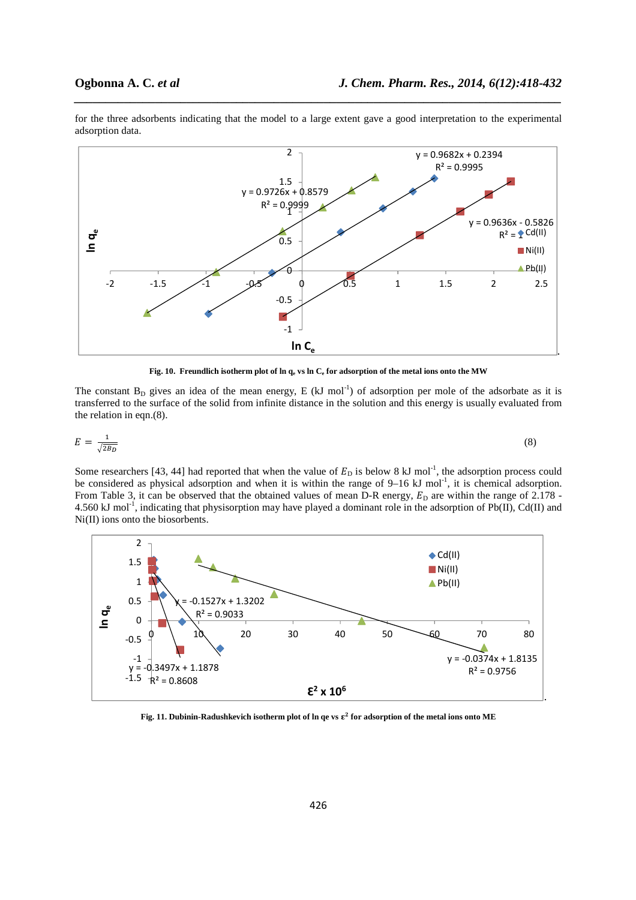

for the three adsorbents indicating that the model to a large extent gave a good interpretation to the experimental adsorption data.

*\_\_\_\_\_\_\_\_\_\_\_\_\_\_\_\_\_\_\_\_\_\_\_\_\_\_\_\_\_\_\_\_\_\_\_\_\_\_\_\_\_\_\_\_\_\_\_\_\_\_\_\_\_\_\_\_\_\_\_\_\_\_\_\_\_\_\_\_\_\_\_\_\_\_\_\_\_\_*

**Fig. 10. Freundlich isotherm plot of ln qe vs ln Ce for adsorption of the metal ions onto the MW** 

The constant  $B_D$  gives an idea of the mean energy, E (kJ mol<sup>-1</sup>) of adsorption per mole of the adsorbate as it is transferred to the surface of the solid from infinite distance in the solution and this energy is usually evaluated from the relation in eqn.(8).

$$
E = \frac{1}{\sqrt{2b}}\tag{8}
$$

Some researchers [43, 44] had reported that when the value of  $E_D$  is below 8 kJ mol<sup>-1</sup>, the adsorption process could be considered as physical adsorption and when it is within the range of  $9-16 \text{ kJ}$  mol<sup>-1</sup>, it is chemical adsorption. From Table 3, it can be observed that the obtained values of mean D-R energy,  $E<sub>D</sub>$  are within the range of 2.178 -4.560 kJ mol<sup>-1</sup>, indicating that physisorption may have played a dominant role in the adsorption of Pb(II), Cd(II) and Ni(II) ions onto the biosorbents.



**Fig. 11. Dubinin-Radushkevich isotherm plot of ln qe vs for adsorption of the metal ions onto ME**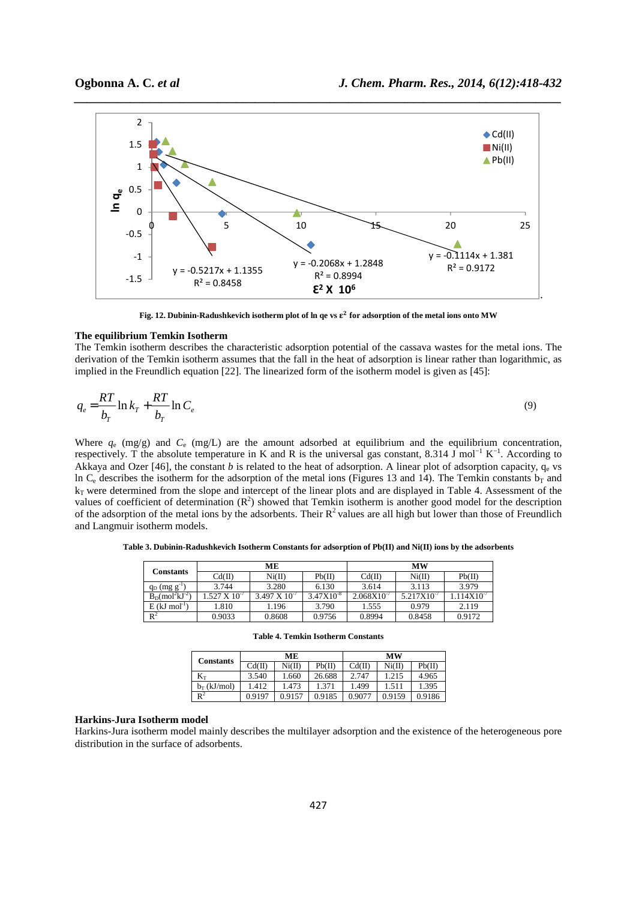

Fig. 12. Dubinin-Radushkevich isotherm plot of  $\ln$  qe vs  $\varepsilon^2$  for adsorption of the metal ions onto MW

## **The equilibrium Temkin Isotherm**

The Temkin isotherm describes the characteristic adsorption potential of the cassava wastes for the metal ions. The derivation of the Temkin isotherm assumes that the fall in the heat of adsorption is linear rather than logarithmic, as implied in the Freundlich equation [22]. The linearized form of the isotherm model is given as [45]:

$$
q_e = \frac{RT}{b_T} \ln k_T + \frac{RT}{b_T} \ln C_e \tag{9}
$$

Where  $q_e$  (mg/g) and  $C_e$  (mg/L) are the amount adsorbed at equilibrium and the equilibrium concentration, respectively. T the absolute temperature in K and R is the universal gas constant, 8.314 J mol−1 K−1. According to Akkaya and Ozer [46], the constant *b* is related to the heat of adsorption. A linear plot of adsorption capacity,  $q_e$  vs In  $C_e$  describes the isotherm for the adsorption of the metal ions (Figures 13 and 14). The Temkin constants  $b_T$  and  $k_T$  were determined from the slope and intercept of the linear plots and are displayed in Table 4. Assessment of the values of coefficient of determination  $(R^2)$  showed that Temkin isotherm is another good model for the description of the adsorption of the metal ions by the adsorbents. Their  $R^2$  values are all high but lower than those of Freundlich and Langmuir isotherm models.

| Constants                   |                       | MЕ                     |                | МW              |                        |                |  |
|-----------------------------|-----------------------|------------------------|----------------|-----------------|------------------------|----------------|--|
|                             | Cd(II)                | Ni(II)                 | Pb(II)         | Cd(II)          | Ni(II)                 | Pb(II)         |  |
| $q_D$ (mg $g^{-1}$          | 3.744                 | 3.280                  | 6.130          | 3.614           | 3.113                  | 3.979          |  |
| $B_D (mol2kJ-2)$            | $.527 \times 10^{-7}$ | $3.497 \times 10^{-7}$ | $3.47X10^{-8}$ | $2.068X10^{-7}$ | 5.217X10 <sup>-1</sup> | $.114X10^{-7}$ |  |
| $E$ (kJ mol <sup>-1</sup> ) | 1.810                 | 1.196                  | 3.790          | 1.555           | 0.979                  | 2.119          |  |
| $\mathbb{R}^2$              | 0.9033                | 0.8608                 | 0.9756         | 0.8994          | 0.8458                 | 0.9172         |  |

**Table 3. Dubinin-Radushkevich Isotherm Constants for adsorption of Pb(II) and Ni(II) ions by the adsorbents** 

|                  | ME     |        |        | <b>MW</b> |        |        |
|------------------|--------|--------|--------|-----------|--------|--------|
| <b>Constants</b> | Cd(II) | Ni(II) | Pb(II) | Cd(II)    | Ni(II) | Pb(II) |
| $\rm K_{T}$      | 3.540  | 1.660  | 26.688 | 2.747     | 1.215  | 4.965  |
| $b_T$ (kJ/mol)   | 1.412  | 1.473  | 1.371  | 1.499     | 1.511  | 1.395  |
| $\mathbb{R}^2$   | 0.9197 | 0.9157 | 0.9185 | 0.9077    | 0.9159 | 0.9186 |

**Table 4. Temkin Isotherm Constants** 

#### **Harkins-Jura Isotherm model**

Harkins-Jura isotherm model mainly describes the multilayer adsorption and the existence of the heterogeneous pore distribution in the surface of adsorbents.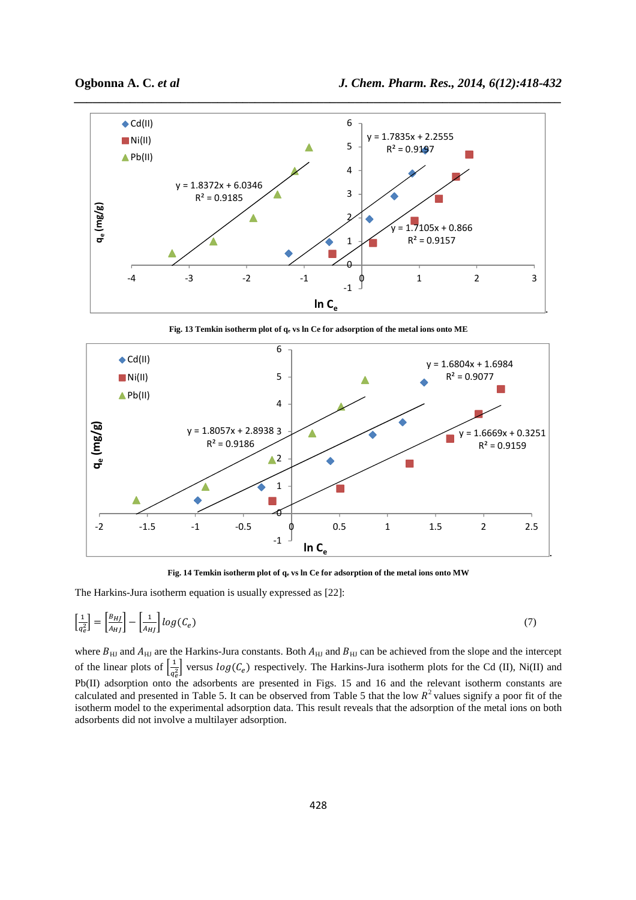

**Fig. 13 Temkin isotherm plot of qe vs ln Ce for adsorption of the metal ions onto ME** 



Fig. 14 Temkin isotherm plot of  $q_e$  vs ln Ce for adsorption of the metal ions onto MW

The Harkins-Jura isotherm equation is usually expressed as [22]:

$$
\left[\frac{1}{q_e^2}\right] = \left[\frac{B_{HJ}}{A_{HJ}}\right] - \left[\frac{1}{A_{HJ}}\right] \log(C_e) \tag{7}
$$

where  $B_{\rm HI}$  and  $A_{\rm HI}$  are the Harkins-Jura constants. Both  $A_{\rm HI}$  and  $B_{\rm HI}$  can be achieved from the slope and the intercept of the linear plots of  $\frac{1}{a^2}$  $\frac{1}{q_e^2}$  versus  $log(C_e)$  respectively. The Harkins-Jura isotherm plots for the Cd (II), Ni(II) and Pb(II) adsorption onto the adsorbents are presented in Figs. 15 and 16 and the relevant isotherm constants are calculated and presented in Table 5. It can be observed from Table 5 that the low  $R^2$  values signify a poor fit of the isotherm model to the experimental adsorption data. This result reveals that the adsorption of the metal ions on both adsorbents did not involve a multilayer adsorption.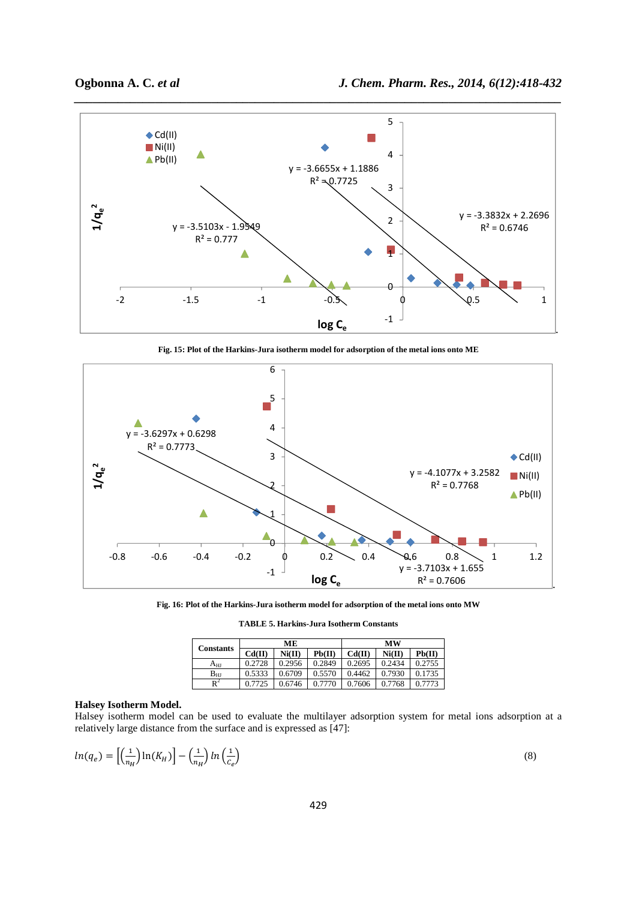

**Fig. 15: Plot of the Harkins-Jura isotherm model for adsorption of the metal ions onto ME** 



**Fig. 16: Plot of the Harkins-Jura isotherm model for adsorption of the metal ions onto MW** 

**TABLE 5. Harkins-Jura Isotherm Constants** 

| <b>Constants</b> | MЕ     |        |        | <b>MW</b> |        |        |
|------------------|--------|--------|--------|-----------|--------|--------|
|                  | Cd(II) | Ni(II) | Pb(II) | Cd(II)    | Ni(II) | Pb(II) |
| A <sub>HJ</sub>  | 0.2728 | 0.2956 | 0.2849 | 0.2695    | 0.2434 | 0.2755 |
| ${\rm B_{HI}}$   | 0.5333 | 0.6709 | 0.5570 | 0.4462    | 0.7930 | 0.1735 |
| $\mathbb{R}^2$   | 0.7725 | 0.6746 | 0.7770 | 0.7606    | 0.7768 | 0.7773 |

# **Halsey Isotherm Model.**

Halsey isotherm model can be used to evaluate the multilayer adsorption system for metal ions adsorption at a relatively large distance from the surface and is expressed as [47]:

$$
ln(q_e) = \left[\left(\frac{1}{n_H}\right)ln(K_H)\right] - \left(\frac{1}{n_H}\right)ln\left(\frac{1}{c_e}\right) \tag{8}
$$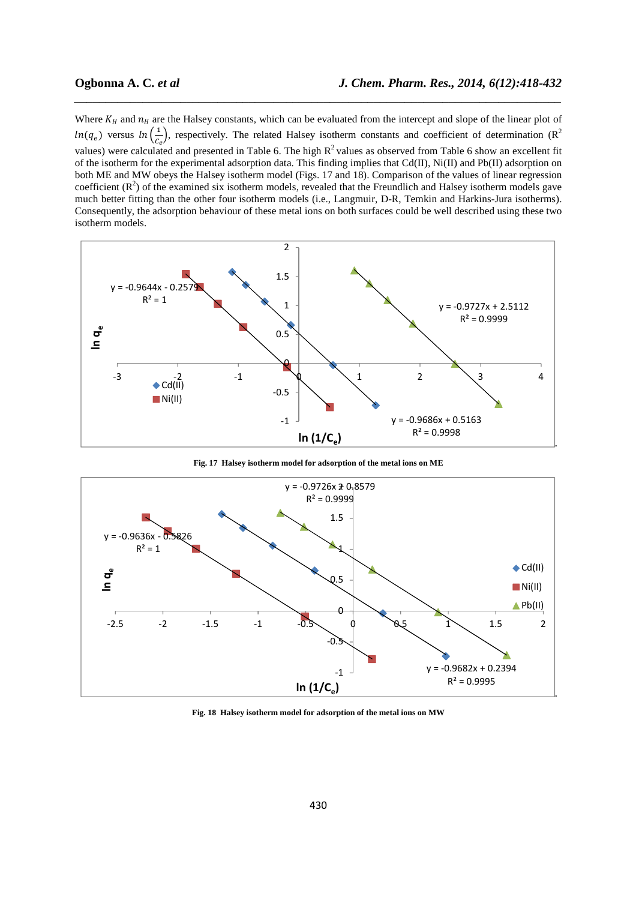Where  $K_H$  and  $n_H$  are the Halsey constants, which can be evaluated from the intercept and slope of the linear plot of  $ln(q_e)$  versus  $ln(\frac{1}{c_e})$ , respectively. The related Halsey isotherm constants and coefficient of determination (R<sup>2</sup> values) were calculated and presented in Table 6. The high  $R^2$  values as observed from Table 6 show an excellent fit of the isotherm for the experimental adsorption data. This finding implies that Cd(II), Ni(II) and Pb(II) adsorption on both ME and MW obeys the Halsey isotherm model (Figs. 17 and 18). Comparison of the values of linear regression coefficient  $(R^2)$  of the examined six isotherm models, revealed that the Freundlich and Halsey isotherm models gave much better fitting than the other four isotherm models (i.e., Langmuir, D-R, Temkin and Harkins-Jura isotherms). Consequently, the adsorption behaviour of these metal ions on both surfaces could be well described using these two isotherm models.

*\_\_\_\_\_\_\_\_\_\_\_\_\_\_\_\_\_\_\_\_\_\_\_\_\_\_\_\_\_\_\_\_\_\_\_\_\_\_\_\_\_\_\_\_\_\_\_\_\_\_\_\_\_\_\_\_\_\_\_\_\_\_\_\_\_\_\_\_\_\_\_\_\_\_\_\_\_\_*



**Fig. 17 Halsey isotherm model for adsorption of the metal ions on ME** 



**Fig. 18 Halsey isotherm model for adsorption of the metal ions on MW**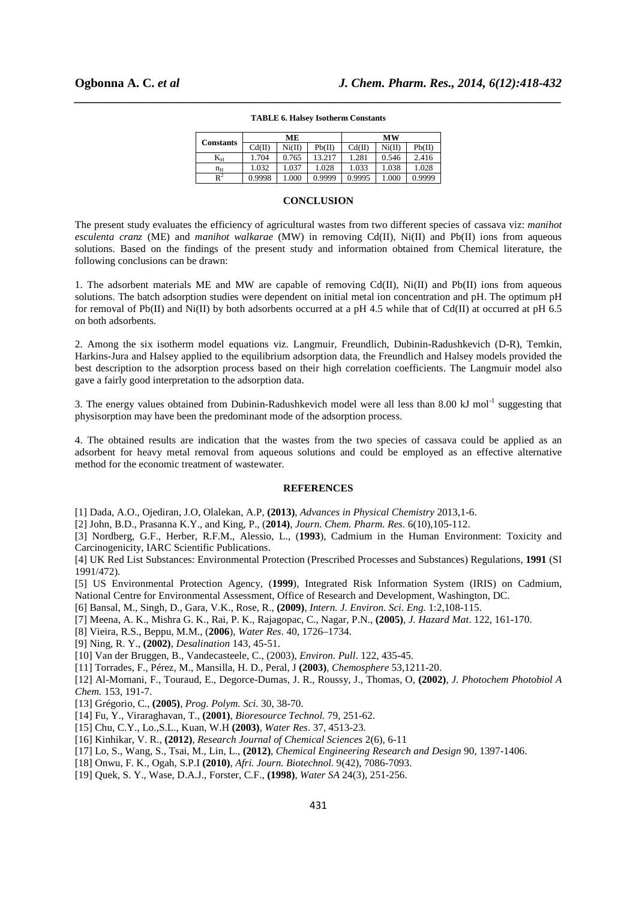| <b>Constants</b> |        | MЕ     |        | MW     |        |        |
|------------------|--------|--------|--------|--------|--------|--------|
|                  | Cd(II) | Ni(II) | Pb(II) | Cd(II) | Ni(II) | Pb(II) |
| $\rm K_H$        | 1.704  | 0.765  | 13.217 | 1.281  | 0.546  | 2.416  |
| $n_{\rm H}$      | 1.032  | 1.037  | 1.028  | 1.033  | 1.038  | 1.028  |
| $\mathbb{R}^2$   | 0.9998 | 1.000  | 0.9999 | 0.9995 | .000   | 0.9999 |

# *\_\_\_\_\_\_\_\_\_\_\_\_\_\_\_\_\_\_\_\_\_\_\_\_\_\_\_\_\_\_\_\_\_\_\_\_\_\_\_\_\_\_\_\_\_\_\_\_\_\_\_\_\_\_\_\_\_\_\_\_\_\_\_\_\_\_\_\_\_\_\_\_\_\_\_\_\_\_* **TABLE 6. Halsey Isotherm Constants**

#### **CONCLUSION**

The present study evaluates the efficiency of agricultural wastes from two different species of cassava viz: *manihot esculenta cranz* (ME) and *manihot walkarae* (MW) in removing Cd(II), Ni(II) and Pb(II) ions from aqueous solutions. Based on the findings of the present study and information obtained from Chemical literature, the following conclusions can be drawn:

1. The adsorbent materials ME and MW are capable of removing Cd(II), Ni(II) and Pb(II) ions from aqueous solutions. The batch adsorption studies were dependent on initial metal ion concentration and pH. The optimum pH for removal of Pb(II) and Ni(II) by both adsorbents occurred at a pH 4.5 while that of Cd(II) at occurred at pH 6.5 on both adsorbents.

2. Among the six isotherm model equations viz. Langmuir, Freundlich, Dubinin-Radushkevich (D-R), Temkin, Harkins-Jura and Halsey applied to the equilibrium adsorption data, the Freundlich and Halsey models provided the best description to the adsorption process based on their high correlation coefficients. The Langmuir model also gave a fairly good interpretation to the adsorption data.

3. The energy values obtained from Dubinin-Radushkevich model were all less than 8.00 kJ mol<sup>-1</sup> suggesting that physisorption may have been the predominant mode of the adsorption process.

4. The obtained results are indication that the wastes from the two species of cassava could be applied as an adsorbent for heavy metal removal from aqueous solutions and could be employed as an effective alternative method for the economic treatment of wastewater.

#### **REFERENCES**

[1] Dada, A.O., Ojediran, J.O, Olalekan, A.P, **(2013)**, *Advances in Physical Chemistry* 2013,1-6.

[2] John, B.D., Prasanna K.Y., and King, P., (**2014)**, *Journ. Chem. Pharm. Res.* 6(10),105-112.

[3] Nordberg, G.F., Herber, R.F.M., Alessio, L., (**1993**), Cadmium in the Human Environment: Toxicity and Carcinogenicity, IARC Scientific Publications.

[4] UK Red List Substances: Environmental Protection (Prescribed Processes and Substances) Regulations, **1991** (SI 1991/472).

[5] US Environmental Protection Agency, (**1999**), Integrated Risk Information System (IRIS) on Cadmium, National Centre for Environmental Assessment, Office of Research and Development, Washington, DC.

[6] Bansal, M., Singh, D., Gara, V.K., Rose, R., **(2009)**, *Intern. J. Environ. Sci. Eng.* 1:2,108-115.

- [7] Meena, A. K., Mishra G. K., Rai, P. K., Rajagopac, C., Nagar, P.N., **(2005)**, *J. Hazard Mat*. 122, 161-170.
- [8] Vieira, R.S., Beppu, M.M., (**2006**), *Water Res*. 40, 1726–1734.

[9] Ning, R. Y., **(2002)**, *Desalination* 143, 45-51.

[10] Van der Bruggen, B., Vandecasteele, C., (2003), *Environ. Pull*. 122, 435-45.

[11] Torrades, F., Pérez, M., Mansilla, H. D., Peral, J **(2003)**, *Chemosphere* 53,1211-20.

[12] Al-Momani, F., Touraud, E., Degorce-Dumas, J. R., Roussy, J., Thomas, O, **(2002)**, *J. Photochem Photobiol A Chem.* 153, 191-7.

- [13] Grégorio, C., **(2005)**, *Prog. Polym. Sci*. 30, 38-70.
- [14] Fu, Y., Viraraghavan, T., **(2001)**, *Bioresource Technol.* 79, 251-62.
- [15] Chu, C.Y., Lo.,S.L., Kuan, W.H **(2003)**, *Water Res*. 37, 4513-23.
- [16] Kinhikar, V. R., **(2012)**, *Research Journal of Chemical Sciences* 2(6), 6-11
- [17] Lo, S., Wang, S., Tsai, M., Lin, L., **(2012)**, *Chemical Engineering Research and Design* 90, 1397-1406.
- [18] Onwu, F. K., Ogah, S.P.I **(2010)**, *Afri. Journ. Biotechnol.* 9(42), 7086-7093.
- [19] Quek, S. Y., Wase, D.A.J., Forster, C.F., **(1998)**, *Water SA* 24(3), 251-256.